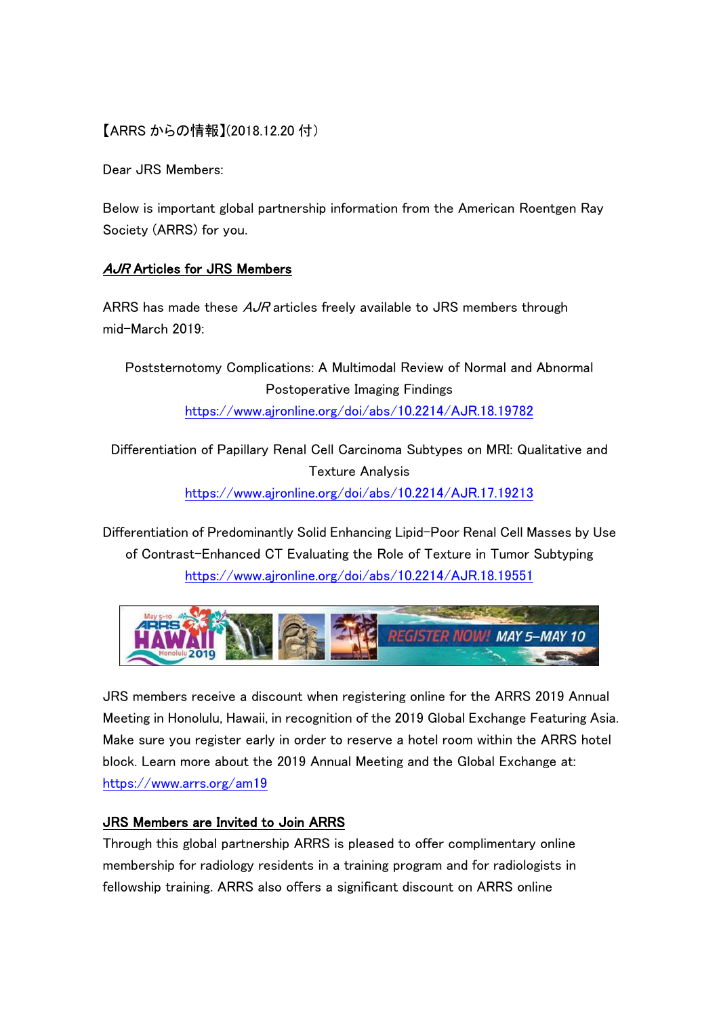## 【ARRS からの情報】(2018.12.20 付)

Dear JRS Members:

Below is important global partnership information from the American Roentgen Ray Society (ARRS) for you.

## AJR Articles for JRS Members

ARRS has made these  $AJR$  articles freely available to JRS members through mid-March 2019:

Poststernotomy Complications: A Multimodal Review of Normal and Abnormal Postoperative Imaging Findings <https://www.ajronline.org/doi/abs/10.2214/AJR.18.19782>

Differentiation of Papillary Renal Cell Carcinoma Subtypes on MRI: Qualitative and Texture Analysis <https://www.ajronline.org/doi/abs/10.2214/AJR.17.19213>

Differentiation of Predominantly Solid Enhancing Lipid-Poor Renal Cell Masses by Use of Contrast-Enhanced CT Evaluating the Role of Texture in Tumor Subtyping <https://www.ajronline.org/doi/abs/10.2214/AJR.18.19551>



JRS members receive a discount when registering online for the ARRS 2019 Annual Meeting in Honolulu, Hawaii, in recognition of the 2019 Global Exchange Featuring Asia. Make sure you register early in order to reserve a hotel room within the ARRS hotel block. Learn more about the 2019 Annual Meeting and the Global Exchange at: <https://www.arrs.org/am19>

## JRS Members are Invited to Join ARRS

Through this global partnership ARRS is pleased to offer complimentary online membership for radiology residents in a training program and for radiologists in fellowship training. ARRS also offers a significant discount on ARRS online